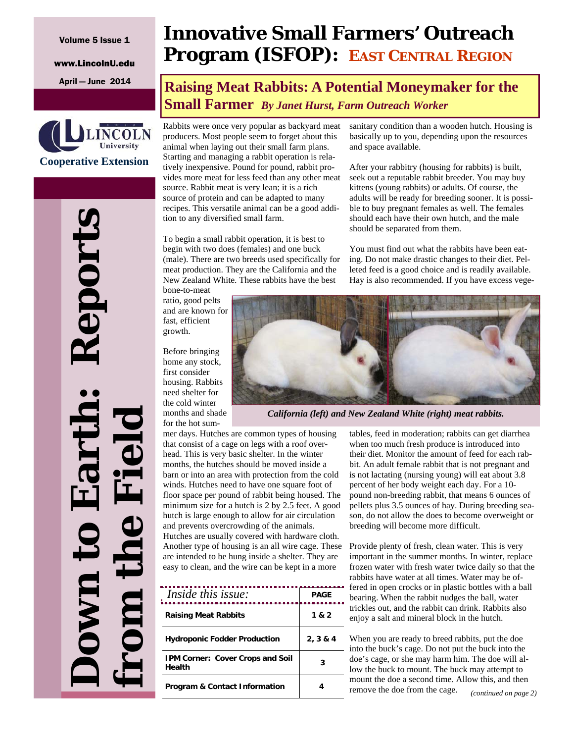#### Volume 5 Issue 1

www.LincolnU.edu



# **Down to Earth: Reports**  eport **from the Field** Ë

# **Innovative Small Farmers' Outreach Program (ISFOP): EAST CENTRAL REGION**

# April — June 2014 **Raising Meat Rabbits: A Potential Moneymaker for the Small Farmer** *By Janet Hurst, Farm Outreach Worker*

Rabbits were once very popular as backyard meat producers. Most people seem to forget about this animal when laying out their small farm plans. Starting and managing a rabbit operation is relatively inexpensive. Pound for pound, rabbit provides more meat for less feed than any other meat source. Rabbit meat is very lean; it is a rich source of protein and can be adapted to many recipes. This versatile animal can be a good addition to any diversified small farm.

To begin a small rabbit operation, it is best to begin with two does (females) and one buck (male). There are two breeds used specifically for meat production. They are the California and the New Zealand White. These rabbits have the best bone-to-meat

ratio, good pelts and are known for fast, efficient growth.

Before bringing home any stock, first consider housing. Rabbits need shelter for the cold winter months and shade for the hot sumsanitary condition than a wooden hutch. Housing is basically up to you, depending upon the resources and space available.

After your rabbitry (housing for rabbits) is built, seek out a reputable rabbit breeder. You may buy kittens (young rabbits) or adults. Of course, the adults will be ready for breeding sooner. It is possible to buy pregnant females as well. The females should each have their own hutch, and the male should be separated from them.

You must find out what the rabbits have been eating. Do not make drastic changes to their diet. Pelleted feed is a good choice and is readily available. Hay is also recommended. If you have excess vege-



*California (left) and New Zealand White (right) meat rabbits.* 

mer days. Hutches are common types of housing that consist of a cage on legs with a roof overhead. This is very basic shelter. In the winter months, the hutches should be moved inside a barn or into an area with protection from the cold winds. Hutches need to have one square foot of floor space per pound of rabbit being housed. The minimum size for a hutch is 2 by 2.5 feet. A good hutch is large enough to allow for air circulation and prevents overcrowding of the animals. Hutches are usually covered with hardware cloth. Another type of housing is an all wire cage. These are intended to be hung inside a shelter. They are easy to clean, and the wire can be kept in a more

| <i>Inside this issue:</i>                         | <b>PAGE</b> |
|---------------------------------------------------|-------------|
| <b>Raising Meat Rabbits</b>                       | 1 & 2       |
| <b>Hydroponic Fodder Production</b>               | 2, 3 & 4    |
| <b>IPM Corner: Cover Crops and Soil</b><br>Health | 3           |
| <b>Program &amp; Contact Information</b>          |             |

tables, feed in moderation; rabbits can get diarrhea when too much fresh produce is introduced into their diet. Monitor the amount of feed for each rabbit. An adult female rabbit that is not pregnant and is not lactating (nursing young) will eat about 3.8 percent of her body weight each day. For a 10 pound non-breeding rabbit, that means 6 ounces of pellets plus 3.5 ounces of hay. During breeding season, do not allow the does to become overweight or breeding will become more difficult.

Provide plenty of fresh, clean water. This is very important in the summer months. In winter, replace frozen water with fresh water twice daily so that the rabbits have water at all times. Water may be offered in open crocks or in plastic bottles with a ball bearing. When the rabbit nudges the ball, water trickles out, and the rabbit can drink. Rabbits also enjoy a salt and mineral block in the hutch.

When you are ready to breed rabbits, put the doe into the buck's cage. Do not put the buck into the doe's cage, or she may harm him. The doe will allow the buck to mount. The buck may attempt to mount the doe a second time. Allow this, and then remove the doe from the cage. *(continued on page 2)*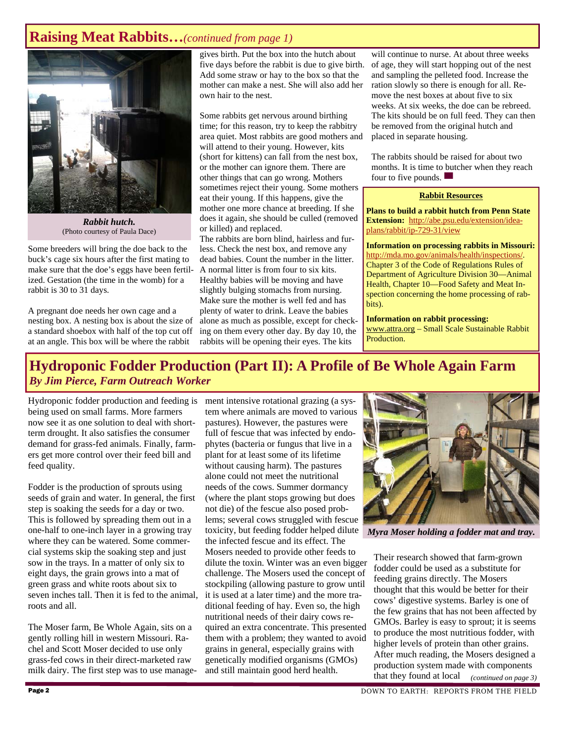#### **Raising Meat Rabbits…***(continued from page 1)*



*Rabbit hutch.*  (Photo courtesy of Paula Dace)

Some breeders will bring the doe back to the buck's cage six hours after the first mating to make sure that the doe's eggs have been fertilized. Gestation (the time in the womb) for a rabbit is 30 to 31 days.

A pregnant doe needs her own cage and a nesting box. A nesting box is about the size of a standard shoebox with half of the top cut off at an angle. This box will be where the rabbit

gives birth. Put the box into the hutch about five days before the rabbit is due to give birth. Add some straw or hay to the box so that the mother can make a nest. She will also add her own hair to the nest.

Some rabbits get nervous around birthing time; for this reason, try to keep the rabbitry area quiet. Most rabbits are good mothers and will attend to their young. However, kits (short for kittens) can fall from the nest box, or the mother can ignore them. There are other things that can go wrong. Mothers sometimes reject their young. Some mothers eat their young. If this happens, give the mother one more chance at breeding. If she does it again, she should be culled (removed or killed) and replaced.

The rabbits are born blind, hairless and furless. Check the nest box, and remove any dead babies. Count the number in the litter. A normal litter is from four to six kits. Healthy babies will be moving and have slightly bulging stomachs from nursing. Make sure the mother is well fed and has plenty of water to drink. Leave the babies alone as much as possible, except for checking on them every other day. By day 10, the rabbits will be opening their eyes. The kits

will continue to nurse. At about three weeks of age, they will start hopping out of the nest and sampling the pelleted food. Increase the ration slowly so there is enough for all. Remove the nest boxes at about five to six weeks. At six weeks, the doe can be rebreed. The kits should be on full feed. They can then be removed from the original hutch and placed in separate housing.

The rabbits should be raised for about two months. It is time to butcher when they reach four to five pounds.  $\blacksquare$ 

#### **Rabbit Resources**

**Plans to build a rabbit hutch from Penn State Extension:** http://abe.psu.edu/extension/ideaplans/rabbit/ip-729-31/view

**Information on processing rabbits in Missouri:**  http://mda.mo.gov/animals/health/inspections/. Chapter 3 of the Code of Regulations Rules of Department of Agriculture Division 30—Animal Health, Chapter 10—Food Safety and Meat Inspection concerning the home processing of rabbits).

**Information on rabbit processing:**  www.attra.org – Small Scale Sustainable Rabbit Production.

#### **Hydroponic Fodder Production (Part II): A Profile of Be Whole Again Farm**  *By Jim Pierce, Farm Outreach Worker*

Hydroponic fodder production and feeding is being used on small farms. More farmers now see it as one solution to deal with shortterm drought. It also satisfies the consumer demand for grass-fed animals. Finally, farmers get more control over their feed bill and feed quality.

Fodder is the production of sprouts using seeds of grain and water. In general, the first step is soaking the seeds for a day or two. This is followed by spreading them out in a one-half to one-inch layer in a growing tray where they can be watered. Some commercial systems skip the soaking step and just sow in the trays. In a matter of only six to eight days, the grain grows into a mat of green grass and white roots about six to seven inches tall. Then it is fed to the animal, roots and all.

The Moser farm, Be Whole Again, sits on a gently rolling hill in western Missouri. Rachel and Scott Moser decided to use only grass-fed cows in their direct-marketed raw milk dairy. The first step was to use management intensive rotational grazing (a system where animals are moved to various pastures). However, the pastures were full of fescue that was infected by endophytes (bacteria or fungus that live in a plant for at least some of its lifetime without causing harm). The pastures alone could not meet the nutritional needs of the cows. Summer dormancy (where the plant stops growing but does not die) of the fescue also posed problems; several cows struggled with fescue toxicity, but feeding fodder helped dilute *Myra Moser holding a fodder mat and tray.* the infected fescue and its effect. The Mosers needed to provide other feeds to dilute the toxin. Winter was an even bigger challenge. The Mosers used the concept of stockpiling (allowing pasture to grow until it is used at a later time) and the more traditional feeding of hay. Even so, the high nutritional needs of their dairy cows required an extra concentrate. This presented them with a problem; they wanted to avoid grains in general, especially grains with genetically modified organisms (GMOs) and still maintain good herd health.



Their research showed that farm-grown fodder could be used as a substitute for feeding grains directly. The Mosers thought that this would be better for their cows' digestive systems. Barley is one of the few grains that has not been affected by GMOs. Barley is easy to sprout; it is seems to produce the most nutritious fodder, with higher levels of protein than other grains. After much reading, the Mosers designed a production system made with components that they found at local *(continued on page 3)*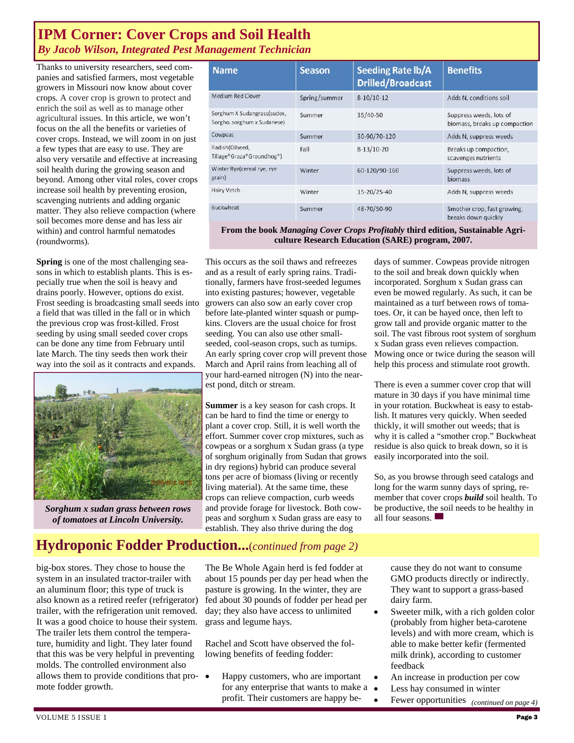#### **IPM Corner: Cover Crops and Soil Health**  *By Jacob Wilson, Integrated Pest Management Technician*

Thanks to university researchers, seed companies and satisfied farmers, most vegetable growers in Missouri now know about cover crops. A cover crop is grown to protect and enrich the soil as well as to manage other agricultural issues. In this article, we won't focus on the all the benefits or varieties of cover crops. Instead, we will zoom in on just a few types that are easy to use. They are also very versatile and effective at increasing soil health during the growing season and beyond. Among other vital roles, cover crops increase soil health by preventing erosion, scavenging nutrients and adding organic matter. They also relieve compaction (where soil becomes more dense and has less air within) and control harmful nematodes (roundworms).

**Spring** is one of the most challenging seasons in which to establish plants. This is especially true when the soil is heavy and drains poorly. However, options do exist. Frost seeding is broadcasting small seeds into a field that was tilled in the fall or in which the previous crop was frost-killed. Frost seeding by using small seeded cover crops can be done any time from February until late March. The tiny seeds then work their way into the soil as it contracts and expands.



*Sorghum x sudan grass between rows of tomatoes at Lincoln University.* 

| <b>Name</b>                                                | <b>Season</b> | <b>Seeding Rate lb/A</b><br><b>Drilled/Broadcast</b> | <b>Benefits</b>                                          |
|------------------------------------------------------------|---------------|------------------------------------------------------|----------------------------------------------------------|
| <b>Medium Red Clover</b>                                   | Spring/summer | $8-10/10-12$                                         | Adds N, conditions soil                                  |
| Sorghum X Sudangrass(sudex,<br>Sorgho, sorghum x Sudanese) | Summer        | 35/40-50                                             | Suppress weeds, lots of<br>biomass, breaks up compaction |
| Cowpeas                                                    | Summer        | 30-90/70-120                                         | Adds N, suppress weeds                                   |
| Radish(Oilseed,<br>Tillage®Graza®Groundhog®)               | Fall          | $8-13/10-20$                                         | Breaks up compaction,<br>scavenges nutrients             |
| Winter Rye(cereal rye, rye)<br>grain)                      | Winter        | 60-120/90-160                                        | Suppress weeds, lots of<br>biomass                       |
| Hairy Vetch                                                | Winter        | 15-20/25-40                                          | Adds N, suppress weeds                                   |
| <b>Buckwheat</b>                                           | Summer        | 48-70/50-90                                          | Smother crop, fast growing,<br>breaks down quickly       |

**From the book** *Managing Cover Crops Profitably* **third edition, Sustainable Agriculture Research Education (SARE) program, 2007.** 

This occurs as the soil thaws and refreezes and as a result of early spring rains. Traditionally, farmers have frost-seeded legumes into existing pastures; however, vegetable growers can also sow an early cover crop before late-planted winter squash or pumpkins. Clovers are the usual choice for frost seeding. You can also use other smallseeded, cool-season crops, such as turnips. An early spring cover crop will prevent those March and April rains from leaching all of your hard-earned nitrogen (N) into the nearest pond, ditch or stream.

**Summer** is a key season for cash crops. It can be hard to find the time or energy to plant a cover crop. Still, it is well worth the effort. Summer cover crop mixtures, such as cowpeas or a sorghum x Sudan grass (a type of sorghum originally from Sudan that grows in dry regions) hybrid can produce several tons per acre of biomass (living or recently living material). At the same time, these crops can relieve compaction, curb weeds and provide forage for livestock. Both cowpeas and sorghum x Sudan grass are easy to establish. They also thrive during the dog

days of summer. Cowpeas provide nitrogen to the soil and break down quickly when incorporated. Sorghum x Sudan grass can even be mowed regularly. As such, it can be maintained as a turf between rows of tomatoes. Or, it can be hayed once, then left to grow tall and provide organic matter to the soil. The vast fibrous root system of sorghum x Sudan grass even relieves compaction. Mowing once or twice during the season will help this process and stimulate root growth.

There is even a summer cover crop that will mature in 30 days if you have minimal time in your rotation. Buckwheat is easy to establish. It matures very quickly. When seeded thickly, it will smother out weeds; that is why it is called a "smother crop." Buckwheat residue is also quick to break down, so it is easily incorporated into the soil.

So, as you browse through seed catalogs and long for the warm sunny days of spring, remember that cover crops *build* soil health. To be productive, the soil needs to be healthy in all four seasons.

## **Hydroponic Fodder Production...**(*continued from page 2)*

big-box stores. They chose to house the system in an insulated tractor-trailer with an aluminum floor; this type of truck is also known as a retired reefer (refrigerator) trailer, with the refrigeration unit removed. It was a good choice to house their system. The trailer lets them control the temperature, humidity and light. They later found that this was be very helpful in preventing molds. The controlled environment also allows them to provide conditions that promote fodder growth.

The Be Whole Again herd is fed fodder at about 15 pounds per day per head when the pasture is growing. In the winter, they are fed about 30 pounds of fodder per head per day; they also have access to unlimited grass and legume hays.

Rachel and Scott have observed the following benefits of feeding fodder:

 Happy customers, who are important for any enterprise that wants to make a profit. Their customers are happy because they do not want to consume GMO products directly or indirectly. They want to support a grass-based dairy farm.

- Sweeter milk, with a rich golden color (probably from higher beta-carotene levels) and with more cream, which is able to make better kefir (fermented milk drink), according to customer feedback
- An increase in production per cow
- Less hay consumed in winter
- Fewer opportunities *(continued on page 4)*